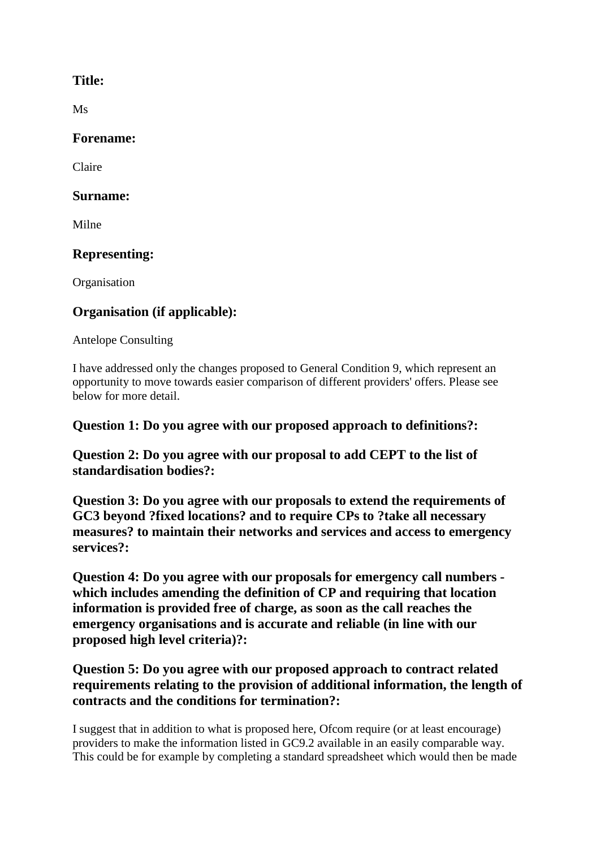### **Title:**

Ms

#### **Forename:**

Claire

#### **Surname:**

Milne

# **Representing:**

**Organisation** 

# **Organisation (if applicable):**

Antelope Consulting

I have addressed only the changes proposed to General Condition 9, which represent an opportunity to move towards easier comparison of different providers' offers. Please see below for more detail.

### **Question 1: Do you agree with our proposed approach to definitions?:**

**Question 2: Do you agree with our proposal to add CEPT to the list of standardisation bodies?:**

**Question 3: Do you agree with our proposals to extend the requirements of GC3 beyond ?fixed locations? and to require CPs to ?take all necessary measures? to maintain their networks and services and access to emergency services?:**

**Question 4: Do you agree with our proposals for emergency call numbers which includes amending the definition of CP and requiring that location information is provided free of charge, as soon as the call reaches the emergency organisations and is accurate and reliable (in line with our proposed high level criteria)?:**

# **Question 5: Do you agree with our proposed approach to contract related requirements relating to the provision of additional information, the length of contracts and the conditions for termination?:**

I suggest that in addition to what is proposed here, Ofcom require (or at least encourage) providers to make the information listed in GC9.2 available in an easily comparable way. This could be for example by completing a standard spreadsheet which would then be made